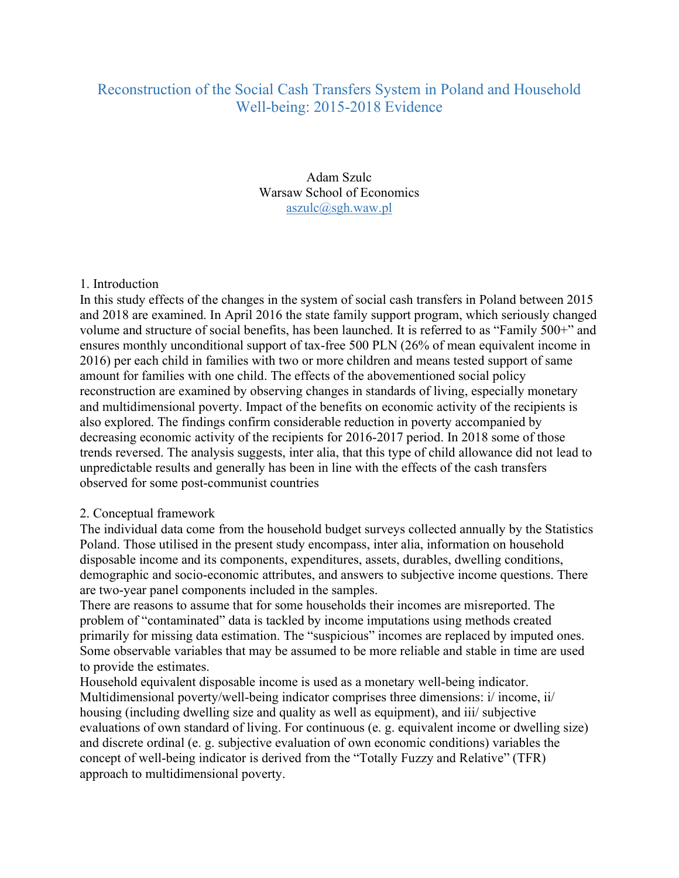# Reconstruction of the Social Cash Transfers System in Poland and Household Well-being: 2015-2018 Evidence

Adam Szulc Warsaw School of Economics aszulc@sgh.waw.pl

#### 1. Introduction

In this study effects of the changes in the system of social cash transfers in Poland between 2015 and 2018 are examined. In April 2016 the state family support program, which seriously changed volume and structure of social benefits, has been launched. It is referred to as "Family 500+" and ensures monthly unconditional support of tax-free 500 PLN (26% of mean equivalent income in 2016) per each child in families with two or more children and means tested support of same amount for families with one child. The effects of the abovementioned social policy reconstruction are examined by observing changes in standards of living, especially monetary and multidimensional poverty. Impact of the benefits on economic activity of the recipients is also explored. The findings confirm considerable reduction in poverty accompanied by decreasing economic activity of the recipients for 2016-2017 period. In 2018 some of those trends reversed. The analysis suggests, inter alia, that this type of child allowance did not lead to unpredictable results and generally has been in line with the effects of the cash transfers observed for some post-communist countries

#### 2. Conceptual framework

The individual data come from the household budget surveys collected annually by the Statistics Poland. Those utilised in the present study encompass, inter alia, information on household disposable income and its components, expenditures, assets, durables, dwelling conditions, demographic and socio-economic attributes, and answers to subjective income questions. There are two-year panel components included in the samples.

There are reasons to assume that for some households their incomes are misreported. The problem of "contaminated" data is tackled by income imputations using methods created primarily for missing data estimation. The "suspicious" incomes are replaced by imputed ones. Some observable variables that may be assumed to be more reliable and stable in time are used to provide the estimates.

Household equivalent disposable income is used as a monetary well-being indicator. Multidimensional poverty/well-being indicator comprises three dimensions: i/ income, ii/ housing (including dwelling size and quality as well as equipment), and iii/ subjective evaluations of own standard of living. For continuous (e. g. equivalent income or dwelling size) and discrete ordinal (e. g. subjective evaluation of own economic conditions) variables the concept of well-being indicator is derived from the "Totally Fuzzy and Relative" (TFR) approach to multidimensional poverty.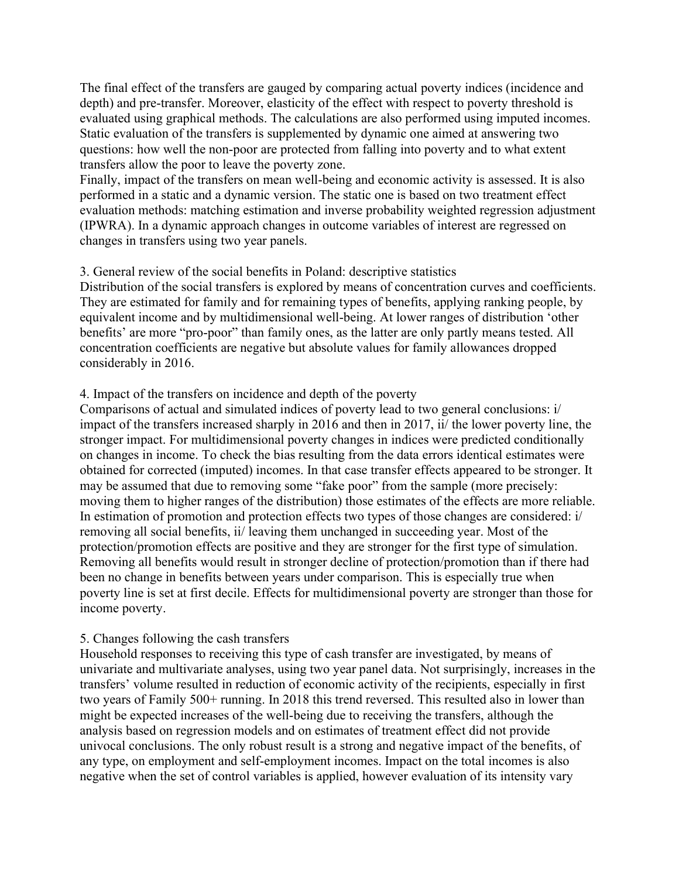The final effect of the transfers are gauged by comparing actual poverty indices (incidence and depth) and pre-transfer. Moreover, elasticity of the effect with respect to poverty threshold is evaluated using graphical methods. The calculations are also performed using imputed incomes. Static evaluation of the transfers is supplemented by dynamic one aimed at answering two questions: how well the non-poor are protected from falling into poverty and to what extent transfers allow the poor to leave the poverty zone.

Finally, impact of the transfers on mean well-being and economic activity is assessed. It is also performed in a static and a dynamic version. The static one is based on two treatment effect evaluation methods: matching estimation and inverse probability weighted regression adjustment (IPWRA). In a dynamic approach changes in outcome variables of interest are regressed on changes in transfers using two year panels.

## 3. General review of the social benefits in Poland: descriptive statistics

Distribution of the social transfers is explored by means of concentration curves and coefficients. They are estimated for family and for remaining types of benefits, applying ranking people, by equivalent income and by multidimensional well-being. At lower ranges of distribution 'other benefits' are more "pro-poor" than family ones, as the latter are only partly means tested. All concentration coefficients are negative but absolute values for family allowances dropped considerably in 2016.

## 4. Impact of the transfers on incidence and depth of the poverty

Comparisons of actual and simulated indices of poverty lead to two general conclusions: i/ impact of the transfers increased sharply in 2016 and then in 2017, ii/ the lower poverty line, the stronger impact. For multidimensional poverty changes in indices were predicted conditionally on changes in income. To check the bias resulting from the data errors identical estimates were obtained for corrected (imputed) incomes. In that case transfer effects appeared to be stronger. It may be assumed that due to removing some "fake poor" from the sample (more precisely: moving them to higher ranges of the distribution) those estimates of the effects are more reliable. In estimation of promotion and protection effects two types of those changes are considered: i/ removing all social benefits, ii/ leaving them unchanged in succeeding year. Most of the protection/promotion effects are positive and they are stronger for the first type of simulation. Removing all benefits would result in stronger decline of protection/promotion than if there had been no change in benefits between years under comparison. This is especially true when poverty line is set at first decile. Effects for multidimensional poverty are stronger than those for income poverty.

### 5. Changes following the cash transfers

Household responses to receiving this type of cash transfer are investigated, by means of univariate and multivariate analyses, using two year panel data. Not surprisingly, increases in the transfers' volume resulted in reduction of economic activity of the recipients, especially in first two years of Family 500+ running. In 2018 this trend reversed. This resulted also in lower than might be expected increases of the well-being due to receiving the transfers, although the analysis based on regression models and on estimates of treatment effect did not provide univocal conclusions. The only robust result is a strong and negative impact of the benefits, of any type, on employment and self-employment incomes. Impact on the total incomes is also negative when the set of control variables is applied, however evaluation of its intensity vary